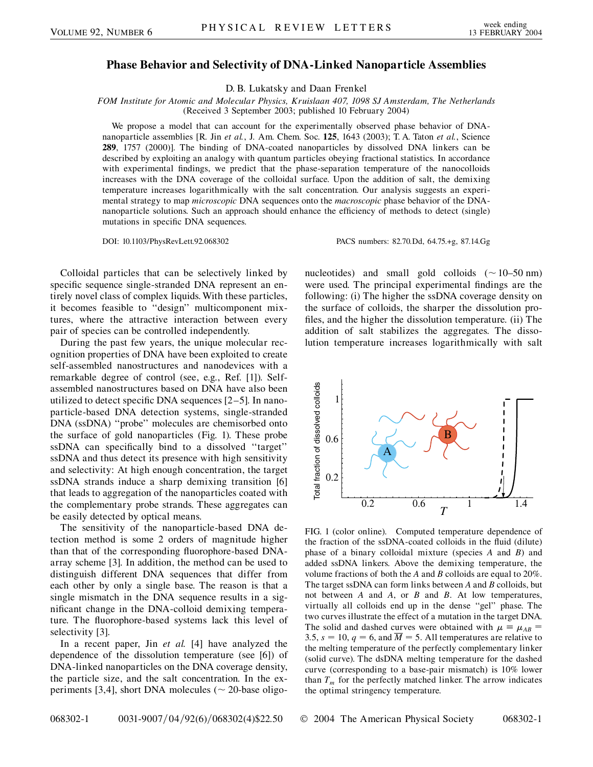## **Phase Behavior and Selectivity of DNA-Linked Nanoparticle Assemblies**

D. B. Lukatsky and Daan Frenkel

*FOM Institute for Atomic and Molecular Physics, Kruislaan 407, 1098 SJ Amsterdam, The Netherlands* (Received 3 September 2003; published 10 February 2004)

We propose a model that can account for the experimentally observed phase behavior of DNAnanoparticle assemblies [R. Jin *et al.*, J. Am. Chem. Soc. **125**, 1643 (2003); T. A. Taton *et al.*, Science **289**, 1757 (2000)]. The binding of DNA-coated nanoparticles by dissolved DNA linkers can be described by exploiting an analogy with quantum particles obeying fractional statistics. In accordance with experimental findings, we predict that the phase-separation temperature of the nanocolloids increases with the DNA coverage of the colloidal surface. Upon the addition of salt, the demixing temperature increases logarithmically with the salt concentration. Our analysis suggests an experimental strategy to map *microscopic* DNA sequences onto the *macroscopic* phase behavior of the DNAnanoparticle solutions. Such an approach should enhance the efficiency of methods to detect (single) mutations in specific DNA sequences.

DOI: 10.1103/PhysRevLett.92.068302 PACS numbers: 82.70.Dd, 64.75.+g, 87.14.Gg

Colloidal particles that can be selectively linked by specific sequence single-stranded DNA represent an entirely novel class of complex liquids. With these particles, it becomes feasible to ''design'' multicomponent mixtures, where the attractive interaction between every pair of species can be controlled independently.

During the past few years, the unique molecular recognition properties of DNA have been exploited to create self-assembled nanostructures and nanodevices with a remarkable degree of control (see, e.g., Ref. [1]). Selfassembled nanostructures based on DNA have also been utilized to detect specific DNA sequences [2–5]. In nanoparticle-based DNA detection systems, single-stranded DNA (ssDNA) ''probe'' molecules are chemisorbed onto the surface of gold nanoparticles (Fig. 1). These probe ssDNA can specifically bind to a dissolved ''target'' ssDNA and thus detect its presence with high sensitivity and selectivity: At high enough concentration, the target ssDNA strands induce a sharp demixing transition [6] that leads to aggregation of the nanoparticles coated with the complementary probe strands. These aggregates can be easily detected by optical means.

The sensitivity of the nanoparticle-based DNA detection method is some 2 orders of magnitude higher than that of the corresponding fluorophore-based DNAarray scheme [3]. In addition, the method can be used to distinguish different DNA sequences that differ from each other by only a single base. The reason is that a single mismatch in the DNA sequence results in a significant change in the DNA-colloid demixing temperature. The fluorophore-based systems lack this level of selectivity [3].

In a recent paper, Jin *et al.* [4] have analyzed the dependence of the dissolution temperature (see [6]) of DNA-linked nanoparticles on the DNA coverage density, the particle size, and the salt concentration. In the experiments [3,4], short DNA molecules ( $\sim$  20-base oligonucleotides) and small gold colloids  $(\sim 10-50 \text{ nm})$ were used. The principal experimental findings are the following: (i) The higher the ssDNA coverage density on the surface of colloids, the sharper the dissolution profiles, and the higher the dissolution temperature. (ii) The addition of salt stabilizes the aggregates. The dissolution temperature increases logarithmically with salt



FIG. 1 (color online). Computed temperature dependence of the fraction of the ssDNA-coated colloids in the fluid (dilute) phase of a binary colloidal mixture (species *A* and *B*) and added ssDNA linkers. Above the demixing temperature, the volume fractions of both the *A* and *B* colloids are equal to 20%. The target ssDNA can form links between *A* and *B* colloids, but not between *A* and *A*, or *B* and *B*. At low temperatures, virtually all colloids end up in the dense ''gel'' phase. The two curves illustrate the effect of a mutation in the target DNA. The solid and dashed curves were obtained with  $\mu \equiv \mu_{AB}$ 3.5,  $s = 10$ ,  $q = 6$ , and  $\overline{M} = 5$ . All temperatures are relative to the melting temperature of the perfectly complementary linker (solid curve). The dsDNA melting temperature for the dashed curve (corresponding to a base-pair mismatch) is 10% lower than  $T_m$  for the perfectly matched linker. The arrow indicates the optimal stringency temperature.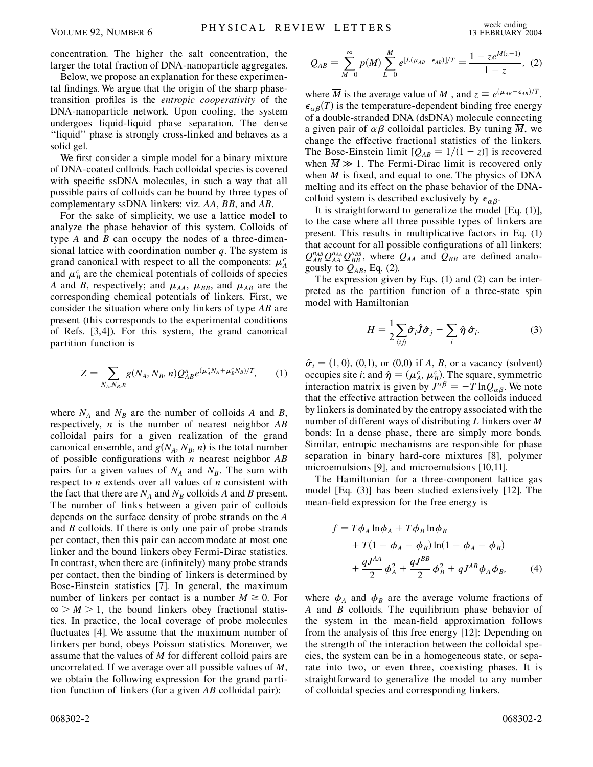concentration. The higher the salt concentration, the larger the total fraction of DNA-nanoparticle aggregates.

Below, we propose an explanation for these experimental findings. We argue that the origin of the sharp phasetransition profiles is the *entropic cooperativity* of the DNA-nanoparticle network. Upon cooling, the system undergoes liquid-liquid phase separation. The dense ''liquid'' phase is strongly cross-linked and behaves as a solid gel.

We first consider a simple model for a binary mixture of DNA-coated colloids. Each colloidal species is covered with specific ssDNA molecules, in such a way that all possible pairs of colloids can be bound by three types of complementary ssDNA linkers: viz. *AA*, *BB*, and *AB*.

For the sake of simplicity, we use a lattice model to analyze the phase behavior of this system. Colloids of type *A* and *B* can occupy the nodes of a three-dimensional lattice with coordination number *q*. The system is grand canonical with respect to all the components:  $\mu_A^c$ and  $\mu_B^c$  are the chemical potentials of colloids of species *A* and *B*, respectively; and  $\mu_{AA}$ ,  $\mu_{BB}$ , and  $\mu_{AB}$  are the corresponding chemical potentials of linkers. First, we consider the situation where only linkers of type *AB* are present (this corresponds to the experimental conditions of Refs. [3,4]). For this system, the grand canonical partition function is

$$
Z = \sum_{N_A, N_B, n} g(N_A, N_B, n) Q_{AB}^n e^{(\mu_A^c N_A + \mu_B^c N_B)/T}, \qquad (1)
$$

where  $N_A$  and  $N_B$  are the number of colloids A and B, respectively, *n* is the number of nearest neighbor *AB* colloidal pairs for a given realization of the grand canonical ensemble, and  $g(N_A, N_B, n)$  is the total number of possible configurations with *n* nearest neighbor *AB* pairs for a given values of  $N_A$  and  $N_B$ . The sum with respect to *n* extends over all values of *n* consistent with the fact that there are  $N_A$  and  $N_B$  colloids A and B present. The number of links between a given pair of colloids depends on the surface density of probe strands on the *A* and *B* colloids. If there is only one pair of probe strands per contact, then this pair can accommodate at most one linker and the bound linkers obey Fermi-Dirac statistics. In contrast, when there are (infinitely) many probe strands per contact, then the binding of linkers is determined by Bose-Einstein statistics [7]. In general, the maximum number of linkers per contact is a number  $M \geq 0$ . For  $\infty > M > 1$ , the bound linkers obey fractional statistics. In practice, the local coverage of probe molecules fluctuates [4]. We assume that the maximum number of linkers per bond, obeys Poisson statistics. Moreover, we assume that the values of *M* for different colloid pairs are uncorrelated. If we average over all possible values of *M*, we obtain the following expression for the grand partition function of linkers (for a given *AB* colloidal pair):

$$
Q_{AB} = \sum_{M=0}^{\infty} p(M) \sum_{L=0}^{M} e^{[L(\mu_{AB} - \epsilon_{AB})]/T} = \frac{1 - z e^{\overline{M}(z-1)}}{1 - z}, \tag{2}
$$

where  $\overline{M}$  is the average value of M, and  $z \equiv e^{(\mu_{AB} - \epsilon_{AB})/T}$ .  $\epsilon_{\alpha\beta}(T)$  is the temperature-dependent binding free energy of a double-stranded DNA (dsDNA) molecule connecting a given pair of  $\alpha\beta$  colloidal particles. By tuning  $\overline{M}$ , we change the effective fractional statistics of the linkers. The Bose-Einstein limit  $[Q_{AB} = 1/(1 - z)]$  is recovered when  $\overline{M} \gg 1$ . The Fermi-Dirac limit is recovered only when *M* is fixed, and equal to one. The physics of DNA melting and its effect on the phase behavior of the DNAcolloid system is described exclusively by  $\epsilon_{\alpha\beta}$ .

It is straightforward to generalize the model [Eq. (1)], to the case where all three possible types of linkers are present. This results in multiplicative factors in Eq. (1) that account for all possible configurations of all linkers:  $Q_{AB}^{n_{AB}}Q_{AA}^{n_{AA}}Q_{BB}^{n_{BB}}$ , where  $Q_{AA}$  and  $Q_{BB}$  are defined analogously to  $Q_{AB}$ , Eq. (2).

The expression given by Eqs. (1) and (2) can be interpreted as the partition function of a three-state spin model with Hamiltonian

$$
H = \frac{1}{2} \sum_{\langle ij \rangle} \hat{\sigma}_i \hat{J} \hat{\sigma}_j - \sum_i \hat{\eta} \hat{\sigma}_i.
$$
 (3)

 $\hat{\sigma}_i = (1, 0), (0, 1),$  or  $(0, 0)$  if *A*, *B*, or a vacancy (solvent) occupies site *i*; and  $\hat{\eta} = (\mu_A^c, \mu_B^c)$ . The square, symmetric interaction matrix is given by  $J^{\alpha\beta} = -T \ln Q_{\alpha\beta}$ . We note that the effective attraction between the colloids induced by linkers is dominated by the entropy associated with the number of different ways of distributing *L* linkers over *M* bonds: In a dense phase, there are simply more bonds. Similar, entropic mechanisms are responsible for phase separation in binary hard-core mixtures [8], polymer microemulsions [9], and microemulsions [10,11].

The Hamiltonian for a three-component lattice gas model [Eq. (3)] has been studied extensively [12]. The mean-field expression for the free energy is

$$
f = T\phi_A \ln \phi_A + T\phi_B \ln \phi_B + T(1 - \phi_A - \phi_B) \ln (1 - \phi_A - \phi_B) + \frac{qJ^{AA}}{2} \phi_A^2 + \frac{qJ^{BB}}{2} \phi_B^2 + qJ^{AB} \phi_A \phi_B,
$$
 (4)

where  $\phi_A$  and  $\phi_B$  are the average volume fractions of *A* and *B* colloids. The equilibrium phase behavior of the system in the mean-field approximation follows from the analysis of this free energy [12]: Depending on the strength of the interaction between the colloidal species, the system can be in a homogeneous state, or separate into two, or even three, coexisting phases. It is straightforward to generalize the model to any number of colloidal species and corresponding linkers.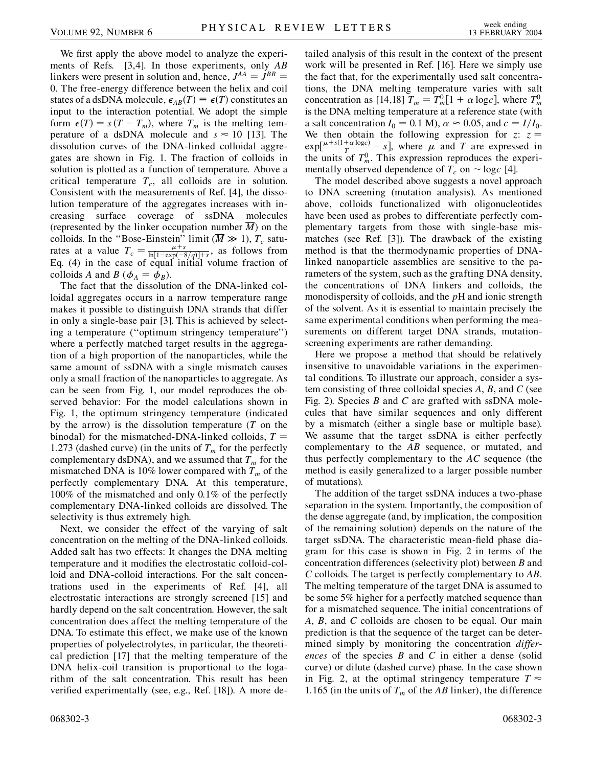We first apply the above model to analyze the experiments of Refs. [3,4]. In those experiments, only *AB* linkers were present in solution and, hence,  $J^{AA} = J^{BB}$ 0. The free-energy difference between the helix and coil states of a dsDNA molecule,  $\epsilon_{AB}(T) \equiv \epsilon(T)$  constitutes an input to the interaction potential. We adopt the simple form  $\epsilon(T) = s(T - T_m)$ , where  $T_m$  is the melting temperature of a dsDNA molecule and  $s \approx 10$  [13]. The dissolution curves of the DNA-linked colloidal aggregates are shown in Fig. 1. The fraction of colloids in solution is plotted as a function of temperature. Above a critical temperature  $T_c$ , all colloids are in solution. Consistent with the measurements of Ref. [4], the dissolution temperature of the aggregates increases with increasing surface coverage of ssDNA molecules (represented by the linker occupation number *M*) on the colloids. In the "Bose-Einstein" limit ( $\overline{M} \gg 1$ ),  $T_c$  saturates at a value  $T_c = \frac{\mu + s}{\ln[1 - \exp(-8/q)] + s}$ , as follows from Eq. (4) in the case of equal initial volume fraction of colloids *A* and *B* ( $\phi_A = \phi_B$ ).

The fact that the dissolution of the DNA-linked colloidal aggregates occurs in a narrow temperature range makes it possible to distinguish DNA strands that differ in only a single-base pair [3]. This is achieved by selecting a temperature (''optimum stringency temperature'') where a perfectly matched target results in the aggregation of a high proportion of the nanoparticles, while the same amount of ssDNA with a single mismatch causes only a small fraction of the nanoparticles to aggregate. As can be seen from Fig. 1, our model reproduces the observed behavior: For the model calculations shown in Fig. 1, the optimum stringency temperature (indicated by the arrow) is the dissolution temperature (*T* on the binodal) for the mismatched-DNA-linked colloids, *T* 1.273 (dashed curve) (in the units of  $T_m$  for the perfectly complementary dsDNA), and we assumed that  $T_m$  for the mismatched DNA is 10% lower compared with  $T_m$  of the perfectly complementary DNA. At this temperature, 100% of the mismatched and only 0*:*1% of the perfectly complementary DNA-linked colloids are dissolved. The selectivity is thus extremely high.

Next, we consider the effect of the varying of salt concentration on the melting of the DNA-linked colloids. Added salt has two effects: It changes the DNA melting temperature and it modifies the electrostatic colloid-colloid and DNA-colloid interactions. For the salt concentrations used in the experiments of Ref. [4], all electrostatic interactions are strongly screened [15] and hardly depend on the salt concentration. However, the salt concentration does affect the melting temperature of the DNA. To estimate this effect, we make use of the known properties of polyelectrolytes, in particular, the theoretical prediction [17] that the melting temperature of the DNA helix-coil transition is proportional to the logarithm of the salt concentration. This result has been verified experimentally (see, e.g., Ref. [18]). A more detailed analysis of this result in the context of the present work will be presented in Ref. [16]. Here we simply use the fact that, for the experimentally used salt concentrations, the DNA melting temperature varies with salt concentration as [14,18]  $T_m = T_m^0[1 + \alpha \log c]$ , where  $T_m^0$ is the DNA melting temperature at a reference state (with a salt concentration  $I_0 = 0.1$  M),  $\alpha \approx 0.05$ , and  $c = I/I_0$ . We then obtain the following expression for  $z: z =$  $\exp[\frac{\mu + s(1 + \alpha \log c)}{T} - s]$ , where  $\mu$  and *T* are expressed in the units of  $T_m^0$ . This expression reproduces the experimentally observed dependence of  $T_c$  on  $\sim$  log $c$  [4].

The model described above suggests a novel approach to DNA screening (mutation analysis). As mentioned above, colloids functionalized with oligonucleotides have been used as probes to differentiate perfectly complementary targets from those with single-base mismatches (see Ref. [3]). The drawback of the existing method is that the thermodynamic properties of DNAlinked nanoparticle assemblies are sensitive to the parameters of the system, such as the grafting DNA density, the concentrations of DNA linkers and colloids, the monodispersity of colloids, and the *p*H and ionic strength of the solvent. As it is essential to maintain precisely the same experimental conditions when performing the measurements on different target DNA strands, mutationscreening experiments are rather demanding.

Here we propose a method that should be relatively insensitive to unavoidable variations in the experimental conditions. To illustrate our approach, consider a system consisting of three colloidal species *A*, *B*, and *C* (see Fig. 2). Species *B* and *C* are grafted with ssDNA molecules that have similar sequences and only different by a mismatch (either a single base or multiple base). We assume that the target ssDNA is either perfectly complementary to the *AB* sequence, or mutated, and thus perfectly complementary to the *AC* sequence (the method is easily generalized to a larger possible number of mutations).

The addition of the target ssDNA induces a two-phase separation in the system. Importantly, the composition of the dense aggregate (and, by implication, the composition of the remaining solution) depends on the nature of the target ssDNA. The characteristic mean-field phase diagram for this case is shown in Fig. 2 in terms of the concentration differences (selectivity plot) between *B* and *C* colloids. The target is perfectly complementary to *AB*. The melting temperature of the target DNA is assumed to be some 5% higher for a perfectly matched sequence than for a mismatched sequence. The initial concentrations of *A*, *B*, and *C* colloids are chosen to be equal. Our main prediction is that the sequence of the target can be determined simply by monitoring the concentration *differences* of the species *B* and *C* in either a dense (solid curve) or dilute (dashed curve) phase. In the case shown in Fig. 2, at the optimal stringency temperature  $T \approx$ 1.165 (in the units of  $T_m$  of the *AB* linker), the difference